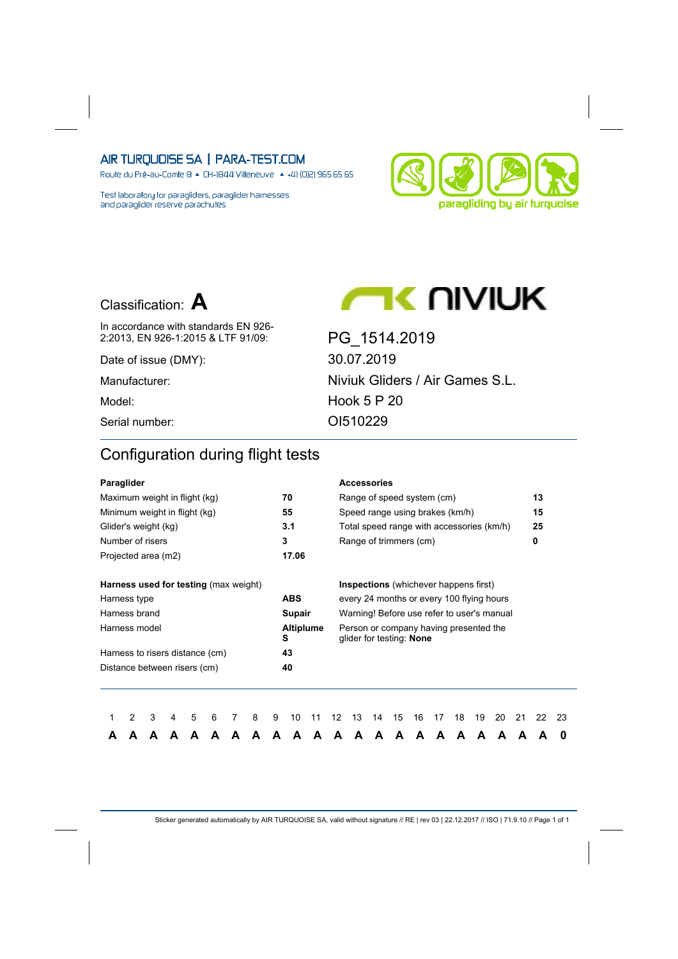Route du Pré-au-Comte 8 & CH-1844 Villeneuve | 4 +41 (0)21 965 65 65

Test laboratory for paragliders, paraglider harnesses and paraglider reserve parachutes





**AC UIVIUK** 

2:2013, EN 926-1:2015 & LTF 91/09: PG\_1514.2019

In accordance with standards EN 926-

Date of issue (DMY): 30.07.2019 Manufacturer: Niviuk Gliders / Air Games S.L. Model: Hook 5 P 20 Serial number: CI510229

## Configuration during flight tests

| Paraglider                                                      |   |   |   |   |   |  |   |   |            |                  |    |    | <b>Accessories</b> |                                                                    |    |    |    |    |    |    |    |    |
|-----------------------------------------------------------------|---|---|---|---|---|--|---|---|------------|------------------|----|----|--------------------|--------------------------------------------------------------------|----|----|----|----|----|----|----|----|
| Maximum weight in flight (kg)                                   |   |   |   |   |   |  |   |   | 70         |                  |    |    |                    | Range of speed system (cm)                                         |    |    |    |    |    |    | 13 |    |
| Minimum weight in flight (kg)                                   |   |   |   |   |   |  |   |   | 55         |                  |    |    |                    | Speed range using brakes (km/h)                                    |    |    |    |    |    |    | 15 |    |
| Glider's weight (kg)                                            |   |   |   |   |   |  |   |   | 3.1        |                  |    |    |                    | Total speed range with accessories (km/h)                          |    |    |    |    |    |    | 25 |    |
| Number of risers                                                |   |   |   |   |   |  |   |   | 3          |                  |    |    |                    | Range of trimmers (cm)                                             |    |    |    |    |    |    | 0  |    |
| Projected area (m2)                                             |   |   |   |   |   |  |   |   | 17.06      |                  |    |    |                    |                                                                    |    |    |    |    |    |    |    |    |
| <b>Harness used for testing (max weight)</b>                    |   |   |   |   |   |  |   |   |            |                  |    |    |                    | <b>Inspections</b> (whichever happens first)                       |    |    |    |    |    |    |    |    |
|                                                                 |   |   |   |   |   |  |   |   | <b>ABS</b> |                  |    |    |                    | every 24 months or every 100 flying hours                          |    |    |    |    |    |    |    |    |
| Harness type<br>Harness brand                                   |   |   |   |   |   |  |   |   | Supair     |                  |    |    |                    | Warning! Before use refer to user's manual                         |    |    |    |    |    |    |    |    |
| Harness model                                                   |   |   |   |   |   |  |   |   | S          | <b>Altiplume</b> |    |    |                    | Person or company having presented the<br>glider for testing: None |    |    |    |    |    |    |    |    |
|                                                                 |   |   |   |   |   |  |   |   | 43         |                  |    |    |                    |                                                                    |    |    |    |    |    |    |    |    |
| Harness to risers distance (cm)<br>Distance between risers (cm) |   |   |   |   |   |  |   |   | 40         |                  |    |    |                    |                                                                    |    |    |    |    |    |    |    |    |
|                                                                 |   |   |   |   |   |  |   |   |            |                  |    |    |                    |                                                                    |    |    |    |    |    |    |    |    |
|                                                                 | 2 | 3 | 4 | 5 | 6 |  | 8 | 9 | 10         | 11               | 12 | 13 | 14                 | 15                                                                 | 16 | 17 | 18 | 19 | 20 | 21 | 22 | 23 |
| А                                                               |   |   |   |   | А |  |   | А | А          |                  | A  | A  | A                  | A                                                                  | А  | A  | A  |    | A  | А  |    | 0  |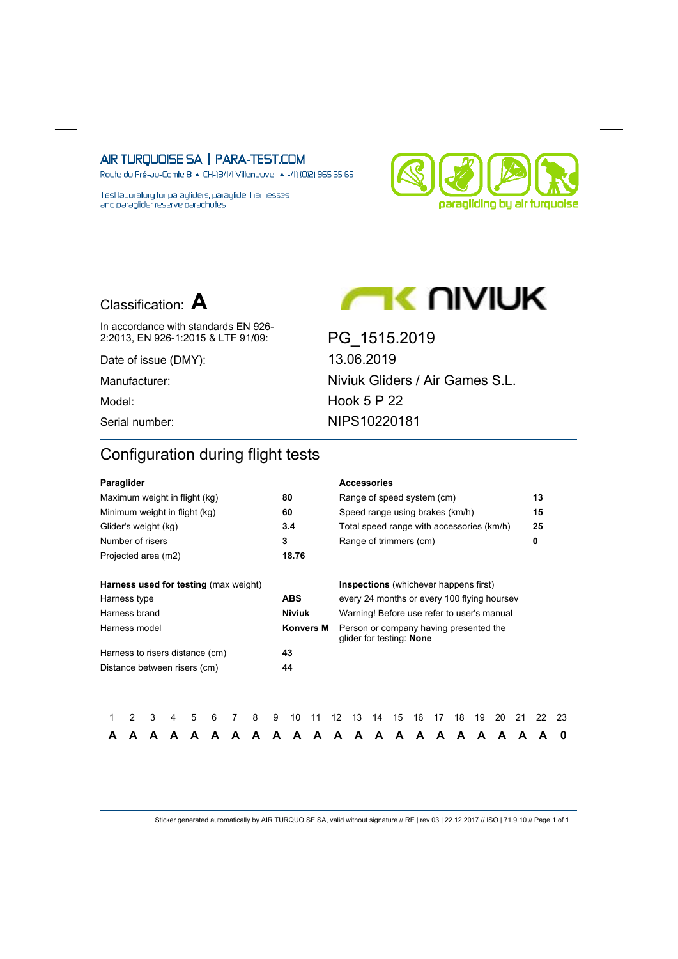Route du Pré-au-Comte 8 & CH-1844 Villeneuve | 4 +41 (0)21 965 65 65

Test laboratory for paragliders, paraglider harnesses and paraglider reserve parachutes





**AC UIVIUK** 

In accordance with standards EN 926-2:2013, EN 926-1:2015 & LTF 91/09: PG\_1515.2019

Date of issue (DMY): 13.06.2019

Manufacturer: Niviuk Gliders / Air Games S.L. Model: Hook 5 P 22 Serial number: NIPS10220181

## Configuration during flight tests

| Paraglider                                   |   |   |   |   |   |   |   |   |               |                  |                   | <b>Accessories</b>                                                 |    |    |    |    |    |    |    |    |    |    |
|----------------------------------------------|---|---|---|---|---|---|---|---|---------------|------------------|-------------------|--------------------------------------------------------------------|----|----|----|----|----|----|----|----|----|----|
| Maximum weight in flight (kg)                |   |   |   |   |   |   |   |   | 80            |                  |                   | Range of speed system (cm)                                         |    |    |    |    |    |    |    |    | 13 |    |
| Minimum weight in flight (kg)                |   |   |   |   |   |   |   |   | 60            |                  |                   | Speed range using brakes (km/h)                                    |    |    |    |    |    |    |    |    | 15 |    |
| Glider's weight (kg)                         |   |   |   |   |   |   |   |   | 3.4           |                  |                   | Total speed range with accessories (km/h)                          |    |    |    |    |    |    |    |    | 25 |    |
| Number of risers                             |   |   |   |   |   |   |   |   | 3             |                  |                   | Range of trimmers (cm)                                             |    |    |    |    |    |    |    |    | 0  |    |
| Projected area (m2)                          |   |   |   |   |   |   |   |   | 18.76         |                  |                   |                                                                    |    |    |    |    |    |    |    |    |    |    |
| <b>Harness used for testing (max weight)</b> |   |   |   |   |   |   |   |   |               |                  |                   | <b>Inspections</b> (whichever happens first)                       |    |    |    |    |    |    |    |    |    |    |
| Harness type                                 |   |   |   |   |   |   |   |   | <b>ABS</b>    |                  |                   | every 24 months or every 100 flying hoursey                        |    |    |    |    |    |    |    |    |    |    |
| Harness brand                                |   |   |   |   |   |   |   |   | <b>Niviuk</b> |                  |                   | Warning! Before use refer to user's manual                         |    |    |    |    |    |    |    |    |    |    |
| Harness model                                |   |   |   |   |   |   |   |   |               | <b>Konvers M</b> |                   | Person or company having presented the<br>glider for testing: None |    |    |    |    |    |    |    |    |    |    |
| Harness to risers distance (cm)              |   |   |   |   |   |   |   |   | 43            |                  |                   |                                                                    |    |    |    |    |    |    |    |    |    |    |
| Distance between risers (cm)                 |   |   |   |   |   |   |   |   | 44            |                  |                   |                                                                    |    |    |    |    |    |    |    |    |    |    |
|                                              |   |   |   |   |   |   |   |   |               |                  |                   |                                                                    |    |    |    |    |    |    |    |    |    |    |
|                                              | 2 | 3 | 4 | 5 | 6 | 7 | 8 | 9 | 10            | 11               | $12 \overline{ }$ | 13                                                                 | 14 | 15 | 16 | 17 | 18 | 19 | 20 | 21 | 22 | 23 |
|                                              |   |   |   |   | А | А |   | А | А             | А                | А                 | A                                                                  | A  | A  | А  | A  | A  | А  | A  | A  |    | 0  |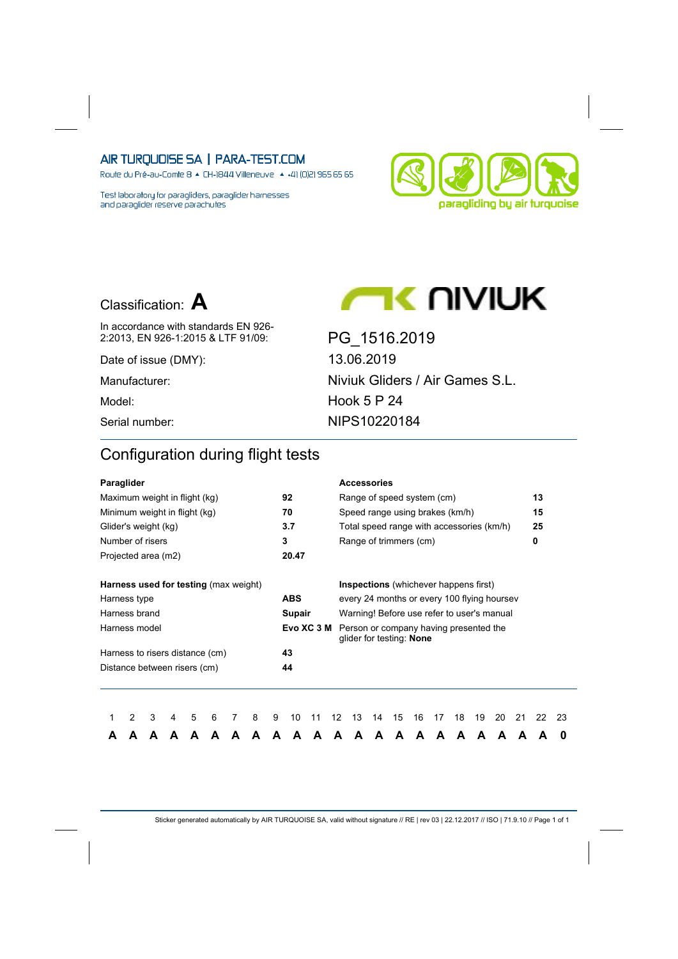Route du Pré-au-Comte 8 & CH-1844 Villeneuve | 4 +41 (0)21 965 65 65

Test laboratory for paragliders, paraglider harnesses and paraglider reserve parachutes



## Classification: **A**

In accordance with standards EN 926-

Date of issue (DMY): 13.06.2019

2:2013, EN 926-1:2015 & LTF 91/09: PG\_1516.2019 Manufacturer: Niviuk Gliders / Air Games S.L. Model: Model: Hook 5 P 24 Serial number: NIPS10220184

**AC UIVIUK** 

## Configuration during flight tests

| Paraglider                                                      |                                              |   |   |   |   |   |   |   |            |            |                   | <b>Accessories</b>                                                 |    |    |    |    |    |    |    |    |    |    |
|-----------------------------------------------------------------|----------------------------------------------|---|---|---|---|---|---|---|------------|------------|-------------------|--------------------------------------------------------------------|----|----|----|----|----|----|----|----|----|----|
| Maximum weight in flight (kg)                                   |                                              |   |   |   |   |   |   |   | 92         |            |                   | Range of speed system (cm)                                         |    |    |    |    |    |    |    |    | 13 |    |
| Minimum weight in flight (kg)                                   |                                              |   |   |   |   |   |   |   | 70         |            |                   | Speed range using brakes (km/h)                                    |    |    |    |    |    |    |    |    | 15 |    |
| Glider's weight (kg)                                            |                                              |   |   |   |   |   |   |   | 3.7        |            |                   | Total speed range with accessories (km/h)                          |    |    |    |    |    |    |    |    | 25 |    |
| Number of risers                                                |                                              |   |   |   |   |   |   |   | 3          |            |                   | Range of trimmers (cm)                                             |    |    |    |    |    |    |    |    | 0  |    |
| Projected area (m2)                                             |                                              |   |   |   |   |   |   |   | 20.47      |            |                   |                                                                    |    |    |    |    |    |    |    |    |    |    |
|                                                                 | <b>Harness used for testing (max weight)</b> |   |   |   |   |   |   |   |            |            |                   | <b>Inspections</b> (whichever happens first)                       |    |    |    |    |    |    |    |    |    |    |
| Harness type                                                    |                                              |   |   |   |   |   |   |   | <b>ABS</b> |            |                   | every 24 months or every 100 flying hoursey                        |    |    |    |    |    |    |    |    |    |    |
| Harness brand                                                   |                                              |   |   |   |   |   |   |   | Supair     |            |                   | Warning! Before use refer to user's manual                         |    |    |    |    |    |    |    |    |    |    |
| Harness model                                                   |                                              |   |   |   |   |   |   |   |            | Evo XC 3 M |                   | Person or company having presented the<br>glider for testing: None |    |    |    |    |    |    |    |    |    |    |
|                                                                 |                                              |   |   |   |   |   |   |   | 43         |            |                   |                                                                    |    |    |    |    |    |    |    |    |    |    |
| Harness to risers distance (cm)<br>Distance between risers (cm) |                                              |   |   |   |   |   |   |   | 44         |            |                   |                                                                    |    |    |    |    |    |    |    |    |    |    |
|                                                                 |                                              |   |   |   |   |   |   |   |            |            |                   |                                                                    |    |    |    |    |    |    |    |    |    |    |
|                                                                 | 2                                            | 3 | 4 | 5 | 6 | 7 | 8 | 9 | 10         | 11         | $12 \overline{ }$ | 13                                                                 | 14 | 15 | 16 | 17 | 18 | 19 | 20 | 21 | 22 | 23 |
|                                                                 |                                              | А |   |   | А | А |   | А | А          | А          | А                 | A                                                                  | A  | A  | А  | A  | A  | А  | A  | A  |    | 0  |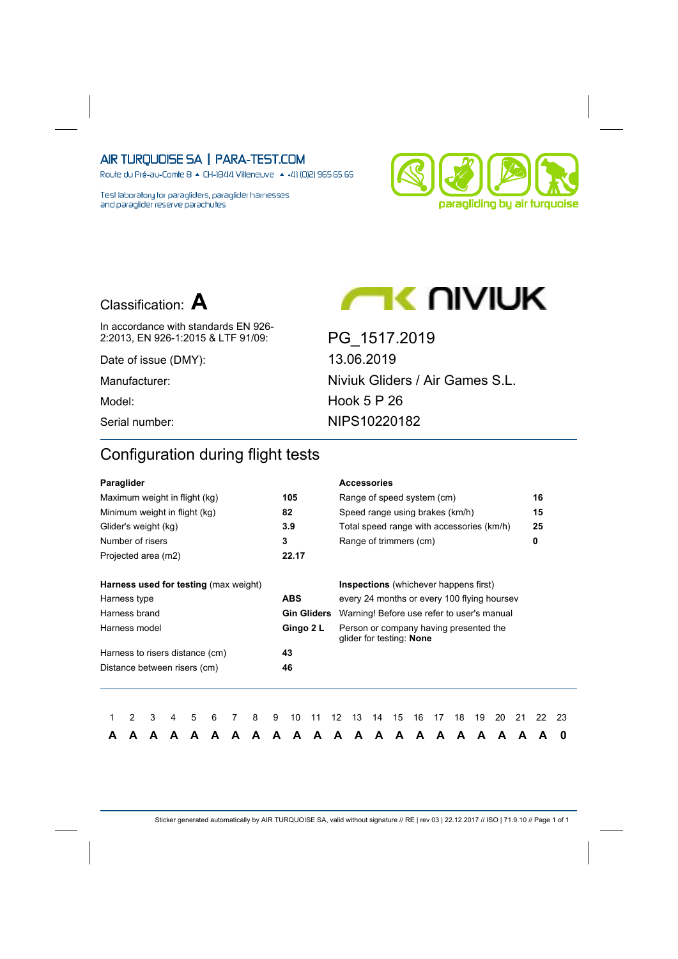Route du Pré-au-Comte 8 & CH-1844 Villeneuve | 4 +41 (0)21 965 65 65

Test laboratory for paragliders, paraglider harnesses and paraglider reserve parachutes



## Classification: **A**

In accordance with standards EN 926-

Date of issue (DMY): 13.06.2019

2:2013, EN 926-1:2015 & LTF 91/09: PG\_1517.2019 Manufacturer: Niviuk Gliders / Air Games S.L. Model: Model: Hook 5 P 26 Serial number: NIPS10220182

**AC UIVIUK** 

## Configuration during flight tests

| Paraglider                                   |   |   |   |   |   |   |   |   |            |                    |    | <b>Accessories</b>                                                 |    |    |    |    |    |    |    |    |    |    |
|----------------------------------------------|---|---|---|---|---|---|---|---|------------|--------------------|----|--------------------------------------------------------------------|----|----|----|----|----|----|----|----|----|----|
| Maximum weight in flight (kg)                |   |   |   |   |   |   |   |   | 105        |                    |    | Range of speed system (cm)                                         |    |    |    |    |    |    |    |    | 16 |    |
| Minimum weight in flight (kg)                |   |   |   |   |   |   |   |   | 82         |                    |    | Speed range using brakes (km/h)                                    |    |    |    |    |    |    |    |    | 15 |    |
| Glider's weight (kg)                         |   |   |   |   |   |   |   |   | 3.9        |                    |    | Total speed range with accessories (km/h)                          |    |    |    |    |    |    |    |    | 25 |    |
| Number of risers                             |   |   |   |   |   |   |   |   | 3          |                    |    | Range of trimmers (cm)                                             |    |    |    |    |    |    |    |    | 0  |    |
| Projected area (m2)                          |   |   |   |   |   |   |   |   | 22.17      |                    |    |                                                                    |    |    |    |    |    |    |    |    |    |    |
| <b>Harness used for testing (max weight)</b> |   |   |   |   |   |   |   |   |            |                    |    | <b>Inspections</b> (whichever happens first)                       |    |    |    |    |    |    |    |    |    |    |
| Harness type                                 |   |   |   |   |   |   |   |   | <b>ABS</b> |                    |    | every 24 months or every 100 flying hoursey                        |    |    |    |    |    |    |    |    |    |    |
| Harness brand                                |   |   |   |   |   |   |   |   |            | <b>Gin Gliders</b> |    | Warning! Before use refer to user's manual                         |    |    |    |    |    |    |    |    |    |    |
| Harness model                                |   |   |   |   |   |   |   |   |            | Gingo 2 L          |    | Person or company having presented the<br>glider for testing: None |    |    |    |    |    |    |    |    |    |    |
| Harness to risers distance (cm)              |   |   |   |   |   |   |   |   | 43         |                    |    |                                                                    |    |    |    |    |    |    |    |    |    |    |
| Distance between risers (cm)                 |   |   |   |   |   |   |   |   | 46         |                    |    |                                                                    |    |    |    |    |    |    |    |    |    |    |
|                                              |   |   |   |   |   |   |   |   |            |                    |    |                                                                    |    |    |    |    |    |    |    |    |    |    |
|                                              | 2 | 3 | 4 | 5 | 6 | 7 | 8 | 9 | 10         | 11                 | 12 | 13                                                                 | 14 | 15 | 16 | 17 | 18 | 19 | 20 | 21 | 22 | 23 |
| А                                            |   | А |   |   | А | А |   | А | А          | А                  | А  | A                                                                  | A  | A  | А  | A  | A  | А  | A  | A  |    | 0  |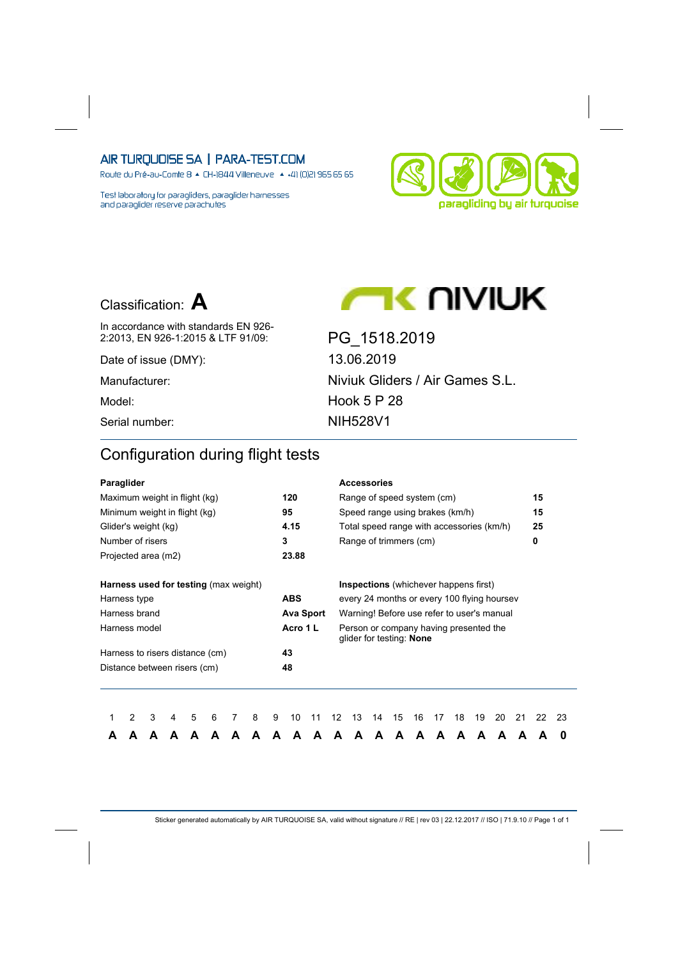Route du Pré-au-Comte 8 & CH-1844 Villeneuve | 4 +41 (0)21 965 65 65

Test laboratory for paragliders, paraglider harnesses and paraglider reserve parachutes





**AC UIVIUK** 

In accordance with standards EN 926-2:2013, EN 926-1:2015 & LTF 91/09: PG\_1518.2019

Date of issue (DMY): 13.06.2019

Manufacturer: Niviuk Gliders / Air Games S.L. Model: Hook 5 P 28 Serial number: NIH528V1

## Configuration during flight tests

| Paraglider                                   |   |   |   |   |   |   |   |   |            |                  |                   |    | <b>Accessories</b>                                                 |    |    |    |    |    |    |    |    |    |
|----------------------------------------------|---|---|---|---|---|---|---|---|------------|------------------|-------------------|----|--------------------------------------------------------------------|----|----|----|----|----|----|----|----|----|
| Maximum weight in flight (kg)                |   |   |   |   |   |   |   |   | 120        |                  |                   |    | Range of speed system (cm)                                         |    |    |    |    |    |    |    | 15 |    |
| Minimum weight in flight (kg)                |   |   |   |   |   |   |   |   | 95         |                  |                   |    | Speed range using brakes (km/h)                                    |    |    |    |    |    |    |    | 15 |    |
| Glider's weight (kg)                         |   |   |   |   |   |   |   |   | 4.15       |                  |                   |    | Total speed range with accessories (km/h)                          |    |    |    |    |    |    |    | 25 |    |
| Number of risers                             |   |   |   |   |   |   |   |   | 3          |                  |                   |    | Range of trimmers (cm)                                             |    |    |    |    |    |    |    | 0  |    |
| Projected area (m2)                          |   |   |   |   |   |   |   |   | 23.88      |                  |                   |    |                                                                    |    |    |    |    |    |    |    |    |    |
| <b>Harness used for testing (max weight)</b> |   |   |   |   |   |   |   |   |            |                  |                   |    | <b>Inspections</b> (whichever happens first)                       |    |    |    |    |    |    |    |    |    |
|                                              |   |   |   |   |   |   |   |   | <b>ABS</b> |                  |                   |    | every 24 months or every 100 flying hoursey                        |    |    |    |    |    |    |    |    |    |
| Harness type<br>Harness brand                |   |   |   |   |   |   |   |   |            | <b>Ava Sport</b> |                   |    | Warning! Before use refer to user's manual                         |    |    |    |    |    |    |    |    |    |
| Harness model                                |   |   |   |   |   |   |   |   | Acro 1 L   |                  |                   |    | Person or company having presented the<br>glider for testing: None |    |    |    |    |    |    |    |    |    |
| Harness to risers distance (cm)              |   |   |   |   |   |   |   |   | 43         |                  |                   |    |                                                                    |    |    |    |    |    |    |    |    |    |
| Distance between risers (cm)                 |   |   |   |   |   |   |   |   | 48         |                  |                   |    |                                                                    |    |    |    |    |    |    |    |    |    |
|                                              |   |   |   |   |   |   |   |   |            |                  |                   |    |                                                                    |    |    |    |    |    |    |    |    |    |
|                                              | 2 | 3 | 4 | 5 | 6 | 7 | 8 | 9 | 10         | 11               | $12 \overline{ }$ | 13 | 14                                                                 | 15 | 16 | 17 | 18 | 19 | 20 | 21 | 22 | 23 |
|                                              |   |   |   |   | А |   |   | А | А          | А                | А                 | A  | A                                                                  | A  | А  | A  | A  | А  | A  | A  |    | 0  |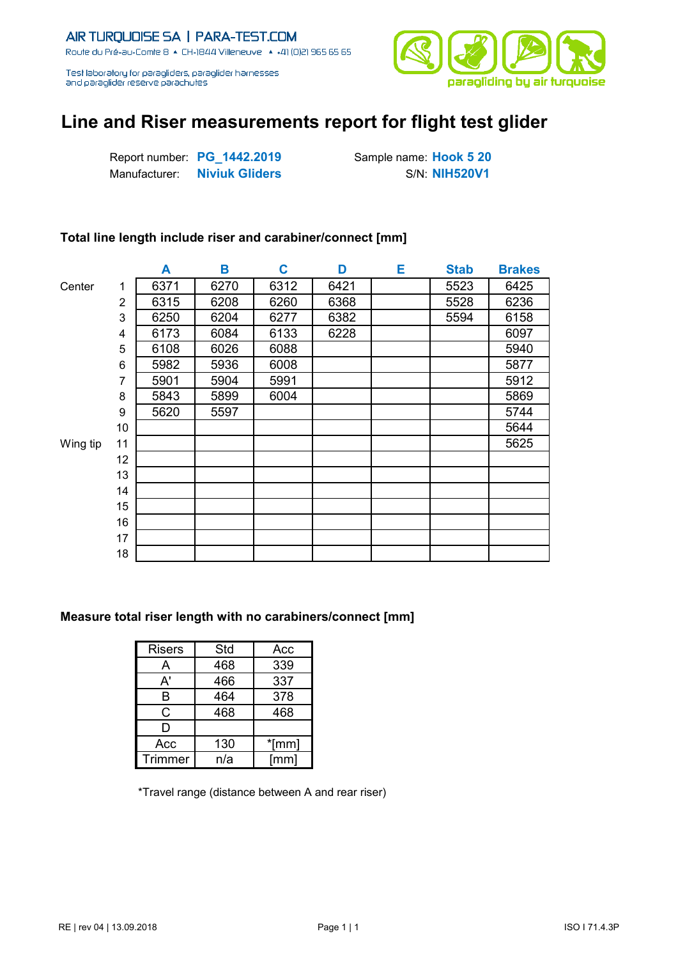

# **Line and Riser measurements report for flight test glider**

Report number: **PG\_1442.2019** Sample name: **Hook 5 20 Manufacturer: Niviuk Gliders** S/N: **NIH520V1** 

### **Total line length include riser and carabiner/connect [mm]**

|          |                | A    | В    | C    | D    | Е | <b>Stab</b> | <b>Brakes</b> |
|----------|----------------|------|------|------|------|---|-------------|---------------|
| Center   | 1              | 6371 | 6270 | 6312 | 6421 |   | 5523        | 6425          |
|          | $\overline{2}$ | 6315 | 6208 | 6260 | 6368 |   | 5528        | 6236          |
|          | 3              | 6250 | 6204 | 6277 | 6382 |   | 5594        | 6158          |
|          | 4              | 6173 | 6084 | 6133 | 6228 |   |             | 6097          |
|          | 5              | 6108 | 6026 | 6088 |      |   |             | 5940          |
|          | 6              | 5982 | 5936 | 6008 |      |   |             | 5877          |
|          | 7              | 5901 | 5904 | 5991 |      |   |             | 5912          |
|          | 8              | 5843 | 5899 | 6004 |      |   |             | 5869          |
|          | 9              | 5620 | 5597 |      |      |   |             | 5744          |
|          | 10             |      |      |      |      |   |             | 5644          |
| Wing tip | 11             |      |      |      |      |   |             | 5625          |
|          | 12             |      |      |      |      |   |             |               |
|          | 13             |      |      |      |      |   |             |               |
|          | 14             |      |      |      |      |   |             |               |
|          | 15             |      |      |      |      |   |             |               |
|          | 16             |      |      |      |      |   |             |               |
|          | 17             |      |      |      |      |   |             |               |
|          | 18             |      |      |      |      |   |             |               |

#### **Measure total riser length with no carabiners/connect [mm]**

| <b>Risers</b> | Std | Acc   |
|---------------|-----|-------|
| А             | 468 | 339   |
| A'            | 466 | 337   |
| в             | 464 | 378   |
| C             | 468 | 468   |
| D             |     |       |
| Acc           | 130 | *[mm] |
| Trimmer       | n/a | [mm]  |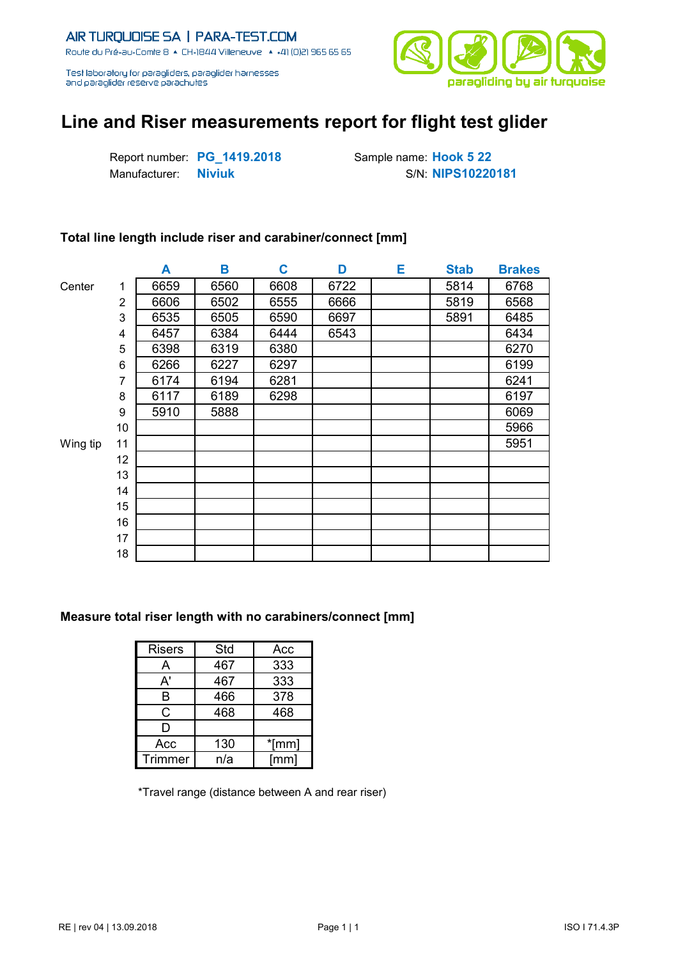

# **Line and Riser measurements report for flight test glider**

Report number: **PG\_1419.2018** Sample name: **Hook 5 22** Manufacturer: **Niviuk** S/N: NIPS10220181

### **Total line length include riser and carabiner/connect [mm]**

|          |    | A    | Β    | C    | D    | Е | <b>Stab</b> | <b>Brakes</b> |
|----------|----|------|------|------|------|---|-------------|---------------|
| Center   | 1  | 6659 | 6560 | 6608 | 6722 |   | 5814        | 6768          |
|          | 2  | 6606 | 6502 | 6555 | 6666 |   | 5819        | 6568          |
|          | 3  | 6535 | 6505 | 6590 | 6697 |   | 5891        | 6485          |
|          | 4  | 6457 | 6384 | 6444 | 6543 |   |             | 6434          |
|          | 5  | 6398 | 6319 | 6380 |      |   |             | 6270          |
|          | 6  | 6266 | 6227 | 6297 |      |   |             | 6199          |
|          | 7  | 6174 | 6194 | 6281 |      |   |             | 6241          |
|          | 8  | 6117 | 6189 | 6298 |      |   |             | 6197          |
|          | 9  | 5910 | 5888 |      |      |   |             | 6069          |
|          | 10 |      |      |      |      |   |             | 5966          |
| Wing tip | 11 |      |      |      |      |   |             | 5951          |
|          | 12 |      |      |      |      |   |             |               |
|          | 13 |      |      |      |      |   |             |               |
|          | 14 |      |      |      |      |   |             |               |
|          | 15 |      |      |      |      |   |             |               |
|          | 16 |      |      |      |      |   |             |               |
|          | 17 |      |      |      |      |   |             |               |
|          | 18 |      |      |      |      |   |             |               |

#### **Measure total riser length with no carabiners/connect [mm]**

| <b>Risers</b> | Std | Acc   |
|---------------|-----|-------|
| А             | 467 | 333   |
| A'            | 467 | 333   |
| в             | 466 | 378   |
| C             | 468 | 468   |
| D             |     |       |
| Acc           | 130 | *[mm] |
| Trimmer       | n/a | [mm]  |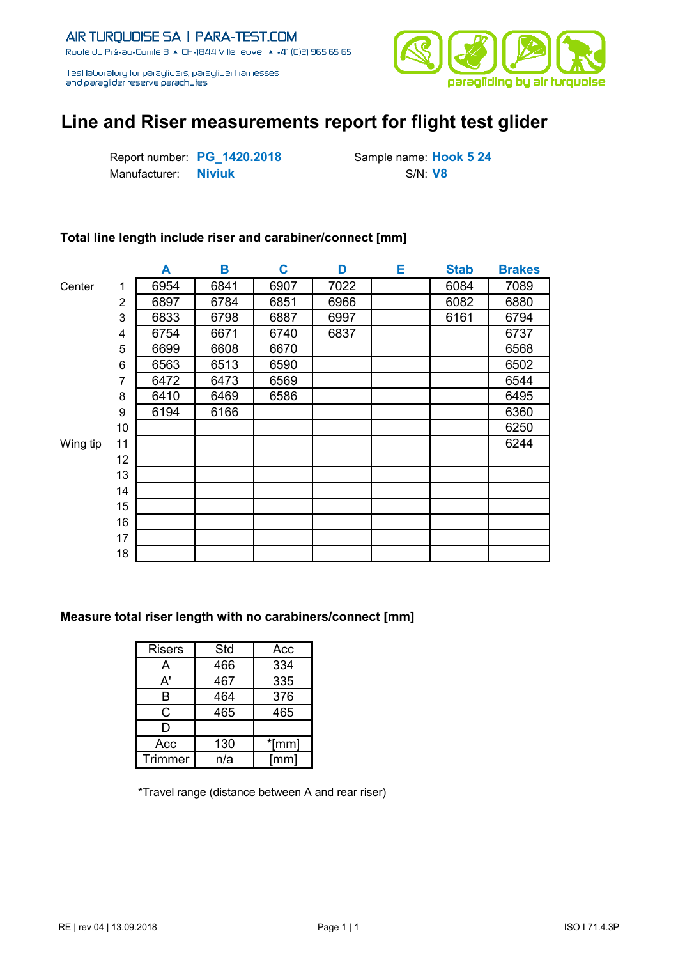

# **Line and Riser measurements report for flight test glider**

Report number: **PG\_1420.2018** Sample name: **Hook 5 24** Manufacturer: **Niviuk** S/N: V8

### **Total line length include riser and carabiner/connect [mm]**

|          |                | A    | Β    | C    | D    | Е | <b>Stab</b> | <b>Brakes</b> |
|----------|----------------|------|------|------|------|---|-------------|---------------|
| Center   | 1              | 6954 | 6841 | 6907 | 7022 |   | 6084        | 7089          |
|          | $\overline{2}$ | 6897 | 6784 | 6851 | 6966 |   | 6082        | 6880          |
|          | 3              | 6833 | 6798 | 6887 | 6997 |   | 6161        | 6794          |
|          | 4              | 6754 | 6671 | 6740 | 6837 |   |             | 6737          |
|          | 5              | 6699 | 6608 | 6670 |      |   |             | 6568          |
|          | 6              | 6563 | 6513 | 6590 |      |   |             | 6502          |
|          | 7              | 6472 | 6473 | 6569 |      |   |             | 6544          |
|          | 8              | 6410 | 6469 | 6586 |      |   |             | 6495          |
|          | 9              | 6194 | 6166 |      |      |   |             | 6360          |
|          | 10             |      |      |      |      |   |             | 6250          |
| Wing tip | 11             |      |      |      |      |   |             | 6244          |
|          | 12             |      |      |      |      |   |             |               |
|          | 13             |      |      |      |      |   |             |               |
|          | 14             |      |      |      |      |   |             |               |
|          | 15             |      |      |      |      |   |             |               |
|          | 16             |      |      |      |      |   |             |               |
|          | 17             |      |      |      |      |   |             |               |
|          | 18             |      |      |      |      |   |             |               |

#### **Measure total riser length with no carabiners/connect [mm]**

| <b>Risers</b>  | Std | Acc   |
|----------------|-----|-------|
| А              | 466 | 334   |
| A'             | 467 | 335   |
| в              | 464 | 376   |
| С              | 465 | 465   |
| D              |     |       |
| Acc            | 130 | *[mm] |
| <b>Trimmer</b> | n/a | [mm]  |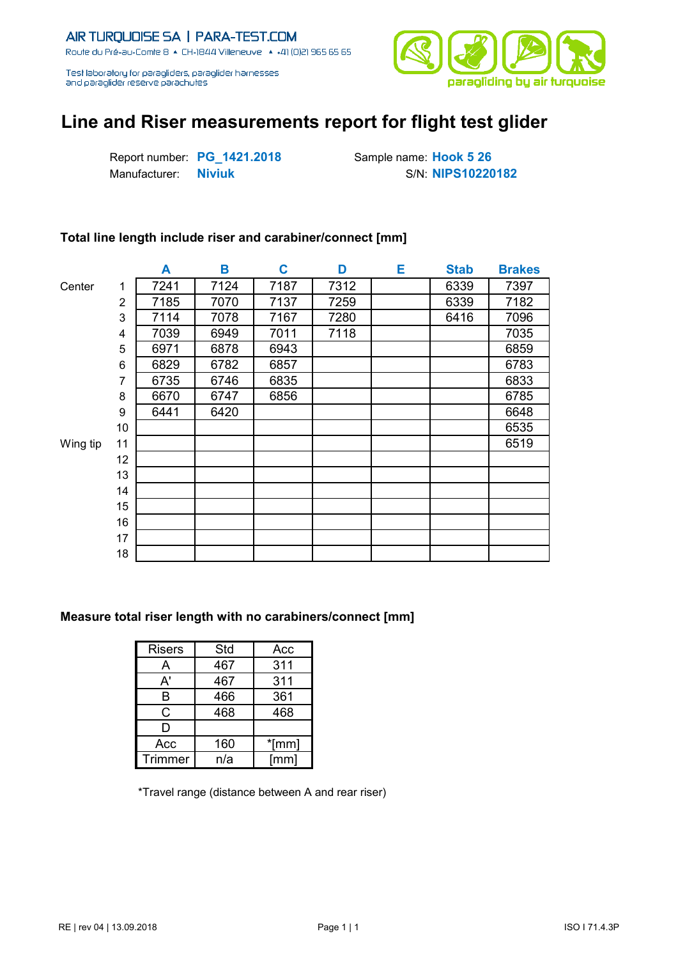

# **Line and Riser measurements report for flight test glider**

Report number: **PG\_1421.2018** Sample name: **Hook 5 26** Manufacturer: **Niviuk** S/N: NIPS10220182

### **Total line length include riser and carabiner/connect [mm]**

|          |                | A    | Β    | C    | D    | Е | <b>Stab</b> | <b>Brakes</b> |
|----------|----------------|------|------|------|------|---|-------------|---------------|
| Center   | 1              | 7241 | 7124 | 7187 | 7312 |   | 6339        | 7397          |
|          | $\overline{2}$ | 7185 | 7070 | 7137 | 7259 |   | 6339        | 7182          |
|          | 3              | 7114 | 7078 | 7167 | 7280 |   | 6416        | 7096          |
|          | 4              | 7039 | 6949 | 7011 | 7118 |   |             | 7035          |
|          | 5              | 6971 | 6878 | 6943 |      |   |             | 6859          |
|          | 6              | 6829 | 6782 | 6857 |      |   |             | 6783          |
|          | 7              | 6735 | 6746 | 6835 |      |   |             | 6833          |
|          | 8              | 6670 | 6747 | 6856 |      |   |             | 6785          |
|          | 9              | 6441 | 6420 |      |      |   |             | 6648          |
|          | 10             |      |      |      |      |   |             | 6535          |
| Wing tip | 11             |      |      |      |      |   |             | 6519          |
|          | 12             |      |      |      |      |   |             |               |
|          | 13             |      |      |      |      |   |             |               |
|          | 14             |      |      |      |      |   |             |               |
|          | 15             |      |      |      |      |   |             |               |
|          | 16             |      |      |      |      |   |             |               |
|          | 17             |      |      |      |      |   |             |               |
|          | 18             |      |      |      |      |   |             |               |

#### **Measure total riser length with no carabiners/connect [mm]**

| <b>Risers</b> | Std | Acc   |
|---------------|-----|-------|
| А             | 467 | 311   |
| A'            | 467 | 311   |
| в             | 466 | 361   |
| C             | 468 | 468   |
| D             |     |       |
| Acc           | 160 | *[mm] |
| Trimmer       | n/a | [mm]  |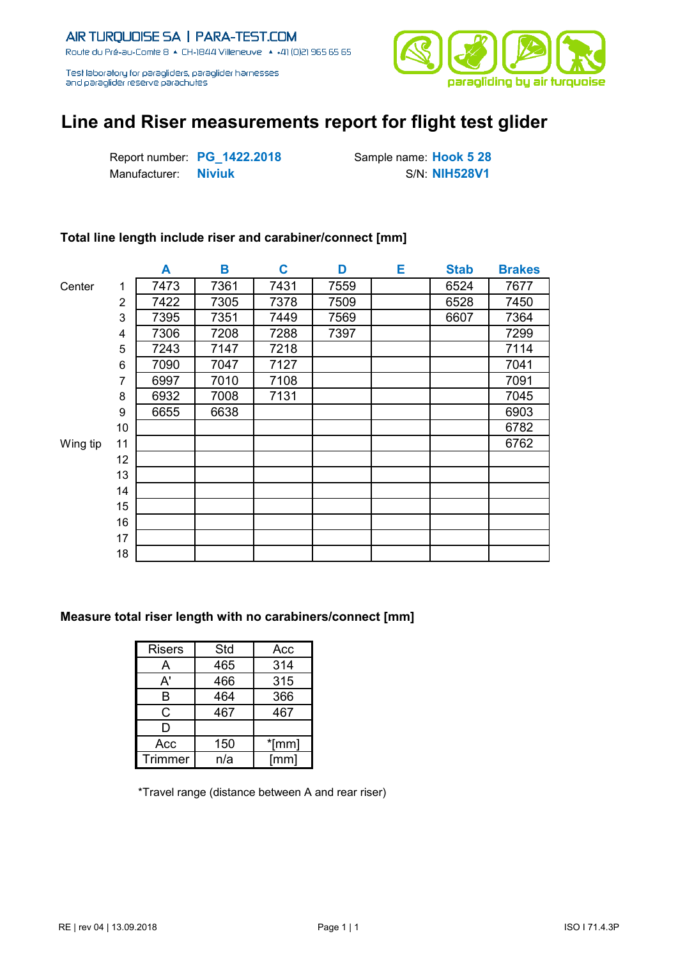

# **Line and Riser measurements report for flight test glider**

Report number: **PG\_1422.2018** Sample name: **Hook 5 28** Manufacturer: **Niviuk** S/N: NIH528V1

### **Total line length include riser and carabiner/connect [mm]**

|          |    | A    | В    | C    | D    | Е | <b>Stab</b> | <b>Brakes</b> |
|----------|----|------|------|------|------|---|-------------|---------------|
| Center   | 1  | 7473 | 7361 | 7431 | 7559 |   | 6524        | 7677          |
|          | 2  | 7422 | 7305 | 7378 | 7509 |   | 6528        | 7450          |
|          | 3  | 7395 | 7351 | 7449 | 7569 |   | 6607        | 7364          |
|          | 4  | 7306 | 7208 | 7288 | 7397 |   |             | 7299          |
|          | 5  | 7243 | 7147 | 7218 |      |   |             | 7114          |
|          | 6  | 7090 | 7047 | 7127 |      |   |             | 7041          |
|          | 7  | 6997 | 7010 | 7108 |      |   |             | 7091          |
|          | 8  | 6932 | 7008 | 7131 |      |   |             | 7045          |
|          | 9  | 6655 | 6638 |      |      |   |             | 6903          |
|          | 10 |      |      |      |      |   |             | 6782          |
| Wing tip | 11 |      |      |      |      |   |             | 6762          |
|          | 12 |      |      |      |      |   |             |               |
|          | 13 |      |      |      |      |   |             |               |
|          | 14 |      |      |      |      |   |             |               |
|          | 15 |      |      |      |      |   |             |               |
|          | 16 |      |      |      |      |   |             |               |
|          | 17 |      |      |      |      |   |             |               |
|          | 18 |      |      |      |      |   |             |               |

#### **Measure total riser length with no carabiners/connect [mm]**

| <b>Risers</b>  | Std | Acc   |
|----------------|-----|-------|
| А              | 465 | 314   |
| A'             | 466 | 315   |
| в              | 464 | 366   |
| C              | 467 | 467   |
| D              |     |       |
| Acc            | 150 | *[mm] |
| <b>Trimmer</b> | n/a | [mm]  |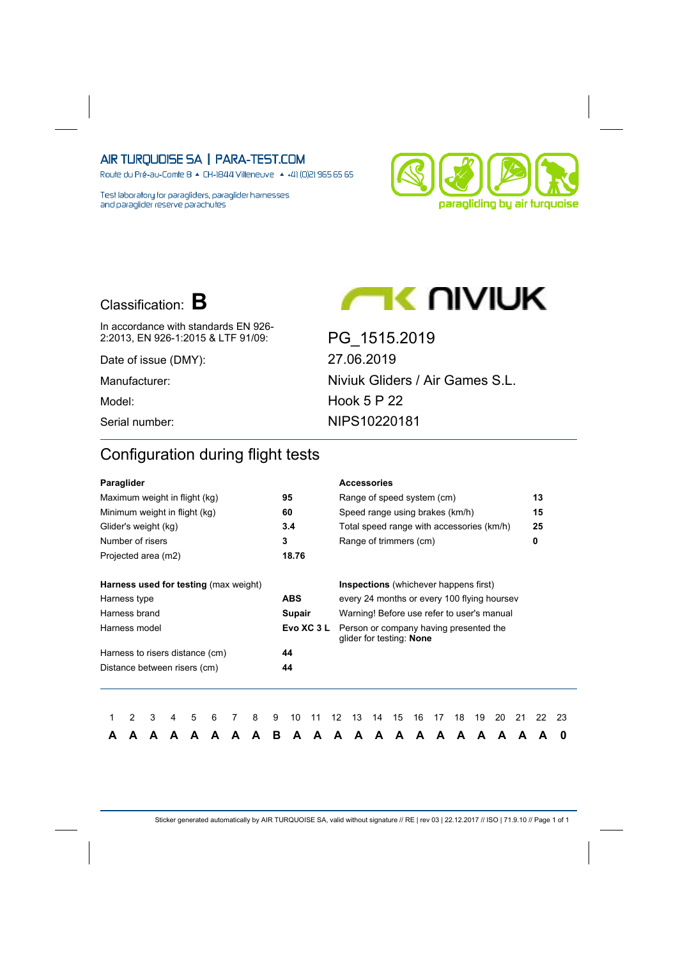Route du Pré-au-Comte 8 & CH-1844 Villeneuve | 4 +41 (0)21 965 65 65

Test laboratory for paragliders, paraglider harnesses and paraglider reserve parachutes



# Classification: **B**



Date of issue (DMY): 27.06.2019

2:2013, EN 926-1:2015 & LTF 91/09: PG\_1515.2019 Manufacturer: Niviuk Gliders / Air Games S.L. Model: Hook 5 P 22 Serial number: NIPS10220181

**AC UIVIUK** 

## Configuration during flight tests

| Paraglider                                   |   |   |   |   |   |   |   |            |           |    | <b>Accessories</b>                                                 |    |    |    |    |    |    |    |    |    |    |
|----------------------------------------------|---|---|---|---|---|---|---|------------|-----------|----|--------------------------------------------------------------------|----|----|----|----|----|----|----|----|----|----|
| Maximum weight in flight (kg)                |   |   |   |   |   |   |   | 95         |           |    | Range of speed system (cm)                                         |    |    |    |    |    |    |    |    | 13 |    |
| Minimum weight in flight (kg)                |   |   |   |   |   |   |   | 60         |           |    | Speed range using brakes (km/h)                                    |    |    |    |    |    |    |    |    | 15 |    |
| Glider's weight (kg)                         |   |   |   |   |   |   |   | 3.4        |           |    | Total speed range with accessories (km/h)                          |    |    |    |    |    |    |    |    | 25 |    |
| Number of risers                             |   |   |   |   |   |   |   | 3          |           |    | Range of trimmers (cm)                                             |    |    |    |    |    |    |    |    | 0  |    |
| Projected area (m2)                          |   |   |   |   |   |   |   | 18.76      |           |    |                                                                    |    |    |    |    |    |    |    |    |    |    |
| <b>Harness used for testing (max weight)</b> |   |   |   |   |   |   |   |            |           |    | <b>Inspections</b> (whichever happens first)                       |    |    |    |    |    |    |    |    |    |    |
| Harness type                                 |   |   |   |   |   |   |   | <b>ABS</b> |           |    | every 24 months or every 100 flying hoursey                        |    |    |    |    |    |    |    |    |    |    |
| Harness brand                                |   |   |   |   |   |   |   | Supair     |           |    | Warning! Before use refer to user's manual                         |    |    |    |    |    |    |    |    |    |    |
| Harness model                                |   |   |   |   |   |   |   |            | Evo XC 3L |    | Person or company having presented the<br>glider for testing: None |    |    |    |    |    |    |    |    |    |    |
| Harness to risers distance (cm)              |   |   |   |   |   |   |   | 44         |           |    |                                                                    |    |    |    |    |    |    |    |    |    |    |
| Distance between risers (cm)                 |   |   |   |   |   |   |   | 44         |           |    |                                                                    |    |    |    |    |    |    |    |    |    |    |
|                                              |   |   |   |   |   |   |   |            |           |    |                                                                    |    |    |    |    |    |    |    |    |    |    |
|                                              | 2 | 3 | 4 | 5 | 6 | 8 | 9 | 10         | 11        | 12 | 13                                                                 | 14 | 15 | 16 | 17 | 18 | 19 | 20 | 21 | 22 | 23 |
|                                              |   |   |   |   | A |   | в | A          | А         | А  | A                                                                  | A  | A  | А  | A  | A  | А  | A  | A  |    | 0  |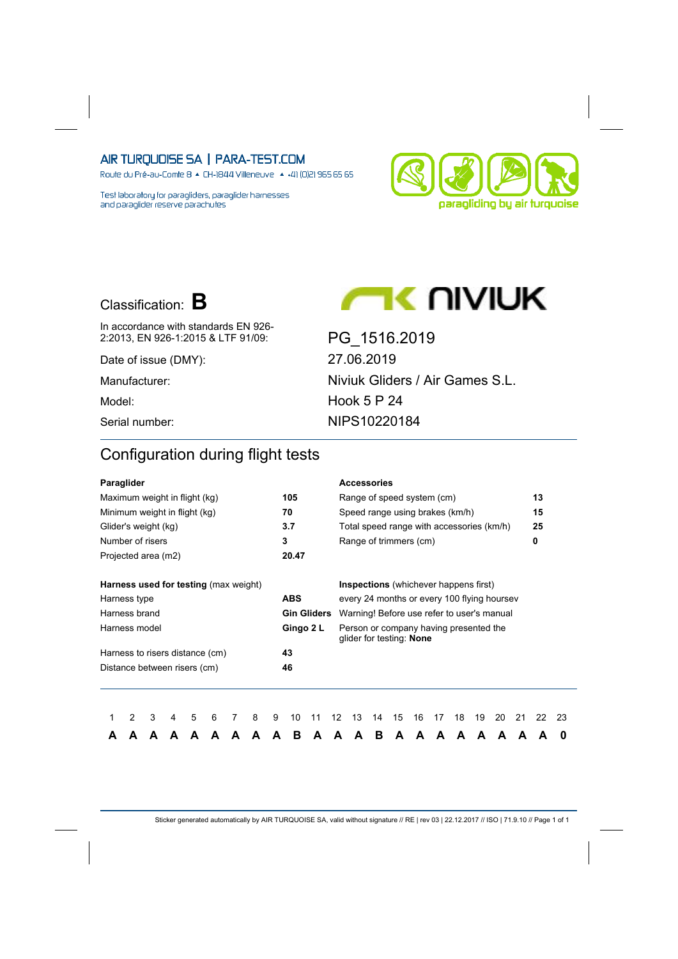Route du Pré-au-Comte 8 & CH-1844 Villeneuve | 4 +41 (0)21 965 65 65

Test laboratory for paragliders, paraglider harnesses and paraglider reserve parachutes



# Classification: **B**



In accordance with standards EN 926-2:2013, EN 926-1:2015 & LTF 91/09: PG\_1516.2019

Date of issue (DMY): 27.06.2019 Manufacturer: Niviuk Gliders / Air Games S.L. Model: Model: Hook 5 P 24 Serial number: NIPS10220184

**AC UIANAK** 

## Configuration during flight tests

| Paraglider                                   |   |   |   |   |   |   |   |   |            |                    |    | <b>Accessories</b>                                                 |    |    |    |    |    |    |    |    |    |    |
|----------------------------------------------|---|---|---|---|---|---|---|---|------------|--------------------|----|--------------------------------------------------------------------|----|----|----|----|----|----|----|----|----|----|
| Maximum weight in flight (kg)                |   |   |   |   |   |   |   |   | 105        |                    |    | Range of speed system (cm)                                         |    |    |    |    |    |    |    |    | 13 |    |
| Minimum weight in flight (kg)                |   |   |   |   |   |   |   |   | 70         |                    |    | Speed range using brakes (km/h)                                    |    |    |    |    |    |    |    |    | 15 |    |
| Glider's weight (kg)                         |   |   |   |   |   |   |   |   | 3.7        |                    |    | Total speed range with accessories (km/h)                          |    |    |    |    |    |    |    |    | 25 |    |
| Number of risers                             |   |   |   |   |   |   |   |   | 3          |                    |    | Range of trimmers (cm)                                             |    |    |    |    |    |    |    |    | 0  |    |
| Projected area (m2)                          |   |   |   |   |   |   |   |   | 20.47      |                    |    |                                                                    |    |    |    |    |    |    |    |    |    |    |
| <b>Harness used for testing (max weight)</b> |   |   |   |   |   |   |   |   |            |                    |    | <b>Inspections</b> (whichever happens first)                       |    |    |    |    |    |    |    |    |    |    |
| Harness type                                 |   |   |   |   |   |   |   |   | <b>ABS</b> |                    |    | every 24 months or every 100 flying hoursey                        |    |    |    |    |    |    |    |    |    |    |
| Harness brand                                |   |   |   |   |   |   |   |   |            | <b>Gin Gliders</b> |    | Warning! Before use refer to user's manual                         |    |    |    |    |    |    |    |    |    |    |
| Harness model                                |   |   |   |   |   |   |   |   |            | Gingo 2 L          |    | Person or company having presented the<br>glider for testing: None |    |    |    |    |    |    |    |    |    |    |
| Harness to risers distance (cm)              |   |   |   |   |   |   |   |   | 43         |                    |    |                                                                    |    |    |    |    |    |    |    |    |    |    |
| Distance between risers (cm)                 |   |   |   |   |   |   |   |   | 46         |                    |    |                                                                    |    |    |    |    |    |    |    |    |    |    |
|                                              |   |   |   |   |   |   |   |   |            |                    |    |                                                                    |    |    |    |    |    |    |    |    |    |    |
|                                              | 2 | 3 | 4 | 5 | 6 | 7 | 8 | 9 | 10         | 11                 | 12 | 13                                                                 | 14 | 15 | 16 | 17 | 18 | 19 | 20 | 21 | 22 | 23 |
| А                                            |   | А |   |   | А |   |   | A | в          | A                  | А  | A                                                                  | в  | A  | А  | A  | A  | А  | A  | A  |    | 0  |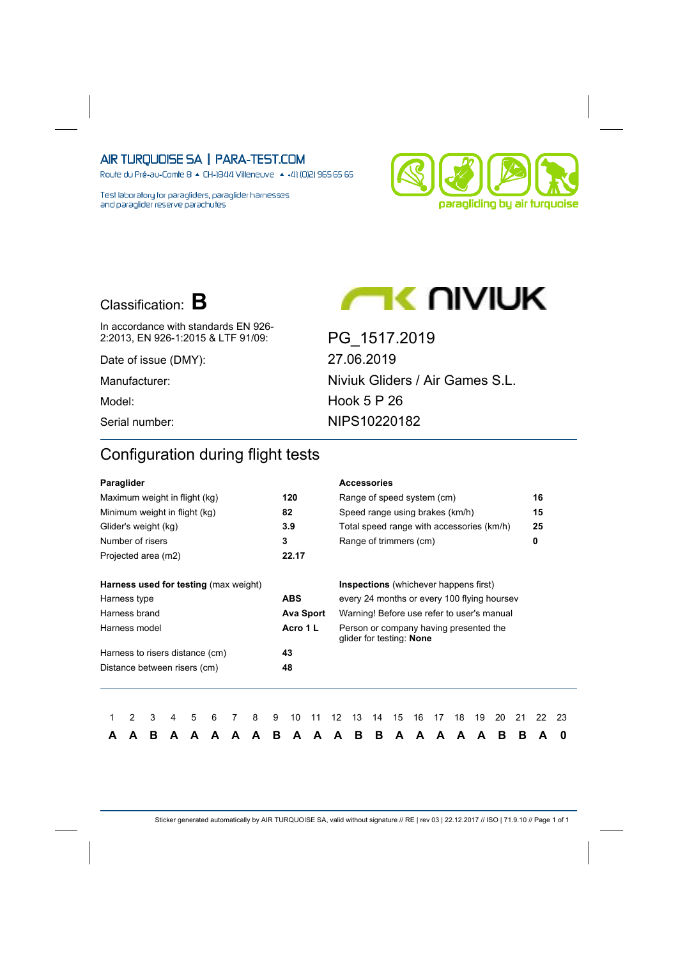Route du Pré-au-Comte 8 & CH-1844 Villeneuve | 4 +41 (0)21 965 65 65

Test laboratory for paragliders, paraglider harnesses and paraglider reserve parachutes



# Classification: **B**



In accordance with standards EN 926- 2:2013, EN 926-1:2015 & LTF 91/09: PG\_1517.2019

Date of issue (DMY): 27.06.2019

Manufacturer: Niviuk Gliders / Air Games S.L. Model: Model: Hook 5 P 26 Serial number: NIPS10220182

**AC UIANAK** 

## Configuration during flight tests

| Paraglider                                   |   |   |   |   |   |   |   |   |            |                  |    |    | <b>Accessories</b> |                                                                    |    |    |    |    |    |    |    |    |
|----------------------------------------------|---|---|---|---|---|---|---|---|------------|------------------|----|----|--------------------|--------------------------------------------------------------------|----|----|----|----|----|----|----|----|
| Maximum weight in flight (kg)                |   |   |   |   |   |   |   |   | 120        |                  |    |    |                    | Range of speed system (cm)                                         |    |    |    |    |    |    | 16 |    |
| Minimum weight in flight (kg)                |   |   |   |   |   |   |   |   | 82         |                  |    |    |                    | Speed range using brakes (km/h)                                    |    |    |    |    |    |    | 15 |    |
| Glider's weight (kg)                         |   |   |   |   |   |   |   |   | 3.9        |                  |    |    |                    | Total speed range with accessories (km/h)                          |    |    |    |    |    |    | 25 |    |
| Number of risers                             |   |   |   |   |   |   |   |   | 3          |                  |    |    |                    | Range of trimmers (cm)                                             |    |    |    |    |    |    | 0  |    |
| Projected area (m2)                          |   |   |   |   |   |   |   |   | 22.17      |                  |    |    |                    |                                                                    |    |    |    |    |    |    |    |    |
| <b>Harness used for testing (max weight)</b> |   |   |   |   |   |   |   |   |            |                  |    |    |                    | <b>Inspections</b> (whichever happens first)                       |    |    |    |    |    |    |    |    |
| Harness type                                 |   |   |   |   |   |   |   |   | <b>ABS</b> |                  |    |    |                    | every 24 months or every 100 flying hoursey                        |    |    |    |    |    |    |    |    |
| Harness brand                                |   |   |   |   |   |   |   |   |            | <b>Ava Sport</b> |    |    |                    | Warning! Before use refer to user's manual                         |    |    |    |    |    |    |    |    |
| Harness model                                |   |   |   |   |   |   |   |   | Acro 1 L   |                  |    |    |                    | Person or company having presented the<br>glider for testing: None |    |    |    |    |    |    |    |    |
| Harness to risers distance (cm)              |   |   |   |   |   |   |   |   | 43         |                  |    |    |                    |                                                                    |    |    |    |    |    |    |    |    |
| Distance between risers (cm)                 |   |   |   |   |   |   |   |   | 48         |                  |    |    |                    |                                                                    |    |    |    |    |    |    |    |    |
|                                              |   |   |   |   |   |   |   |   |            |                  |    |    |                    |                                                                    |    |    |    |    |    |    |    |    |
|                                              | 2 | 3 | 4 | 5 | 6 | 7 | 8 | 9 | 10         | 11               | 12 | 13 | 14                 | 15                                                                 | 16 | 17 | 18 | 19 | 20 | 21 | 22 | 23 |
| А                                            |   | в | А |   | А |   |   | в | А          | А                | А  | в  | в                  | A                                                                  | А  | A  | А  | А  | в  | в  | A  | 0  |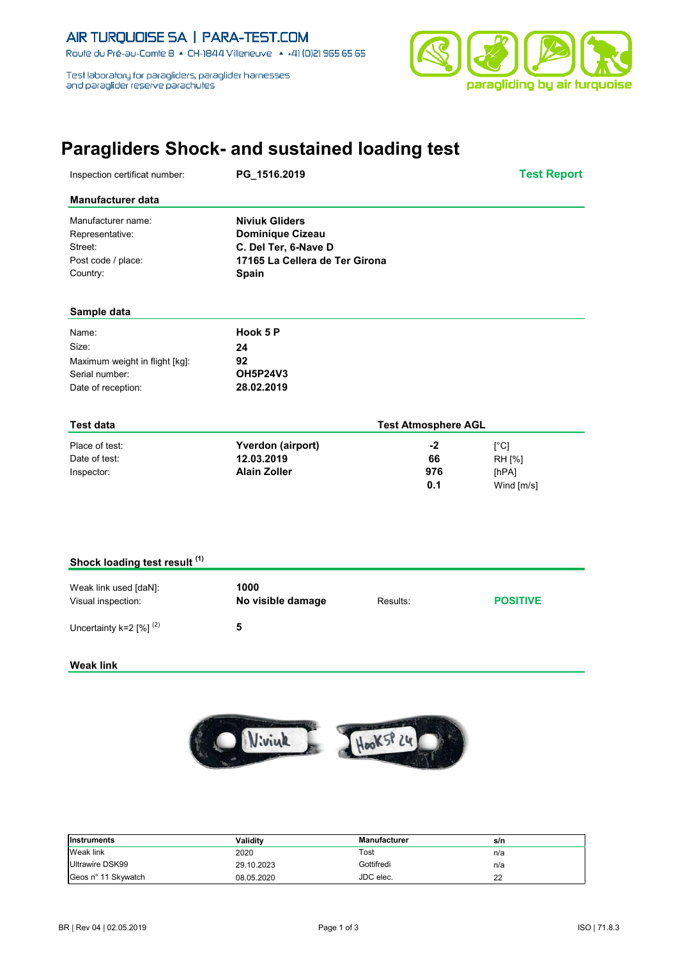

# **Paragliders Shock- and sustained loading test**

| Inspection certificat number:                                                            | PG_1516.2019                                                                                                        |                            | <b>Test Report</b>                    |
|------------------------------------------------------------------------------------------|---------------------------------------------------------------------------------------------------------------------|----------------------------|---------------------------------------|
| <b>Manufacturer data</b>                                                                 |                                                                                                                     |                            |                                       |
| Manufacturer name:<br>Representative:<br>Street:<br>Post code / place:<br>Country:       | <b>Niviuk Gliders</b><br><b>Dominique Cizeau</b><br>C. Del Ter, 6-Nave D<br>17165 La Cellera de Ter Girona<br>Spain |                            |                                       |
| Sample data                                                                              |                                                                                                                     |                            |                                       |
| Name:<br>Size:<br>Maximum weight in flight [kg]:<br>Serial number:<br>Date of reception: | Hook 5 P<br>24<br>92<br><b>OH5P24V3</b><br>28.02.2019                                                               |                            |                                       |
| <b>Test data</b>                                                                         |                                                                                                                     | <b>Test Atmosphere AGL</b> |                                       |
| Place of test:<br>Date of test:<br>Inspector:                                            | Yverdon (airport)<br>12.03.2019<br><b>Alain Zoller</b>                                                              | $-2$<br>66<br>976<br>0.1   | [°C]<br>RH [%]<br>[hPA]<br>Wind [m/s] |
| Shock loading test result (1)                                                            |                                                                                                                     |                            |                                       |
| $W$ eak link used [da $W$ ]                                                              | 1000                                                                                                                |                            |                                       |

| Weak link used [daN]:<br>Visual inspection: | 1000<br>No visible damage | Results: | <b>POSITIVE</b> |
|---------------------------------------------|---------------------------|----------|-----------------|
| Uncertainty k=2 $[%]$ <sup>(2)</sup>        | n                         |          |                 |

#### **Weak link**



| <b>Instruments</b>  | Validitv   | <b>Manufacturer</b> | s/n |
|---------------------|------------|---------------------|-----|
| Weak link           | 2020       | Tost                | n/a |
| Ultrawire DSK99     | 29.10.2023 | Gottifredi          | n/a |
| Geos n° 11 Skywatch | 08.05.2020 | JDC elec.           | 22  |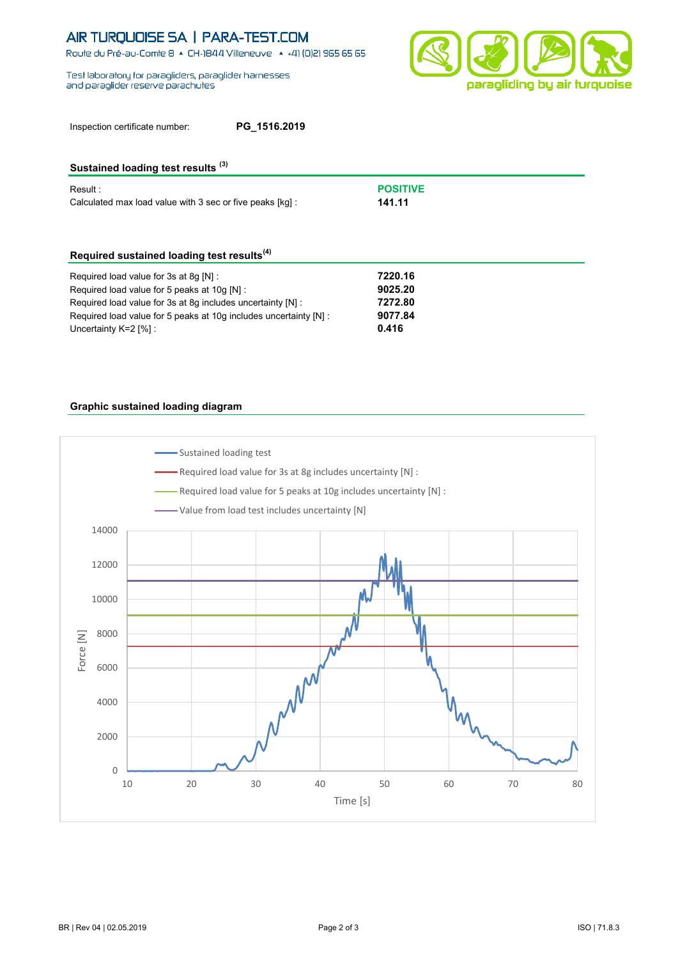Route du Pré-au-Comte 8 & CH-1844 Villeneuve | 4 +41 (0)21 965 65 65

Test laboratory for paragliders, paraglider hamesses and paraglider reserve parachutes



| Inspection certificate number: | PG_1516.2019 |
|--------------------------------|--------------|
|--------------------------------|--------------|

### **Sustained loading test results (3)**

| Result :                                                  | <b>POSITIVE</b> |
|-----------------------------------------------------------|-----------------|
| Calculated max load value with 3 sec or five peaks [kq] : | 141.11          |

### **Required sustained loading test results(4)**

| Required load value for 3s at 8q [N] :                            | 7220.16 |
|-------------------------------------------------------------------|---------|
| Required load value for 5 peaks at 10q [N] :                      | 9025.20 |
| Required load value for 3s at 8q includes uncertainty [N] :       | 7272.80 |
| Required load value for 5 peaks at 10q includes uncertainty [N] : | 9077.84 |
| Uncertainty $K=2$ [%]:                                            | 0.416   |

#### **Graphic sustained loading diagram**